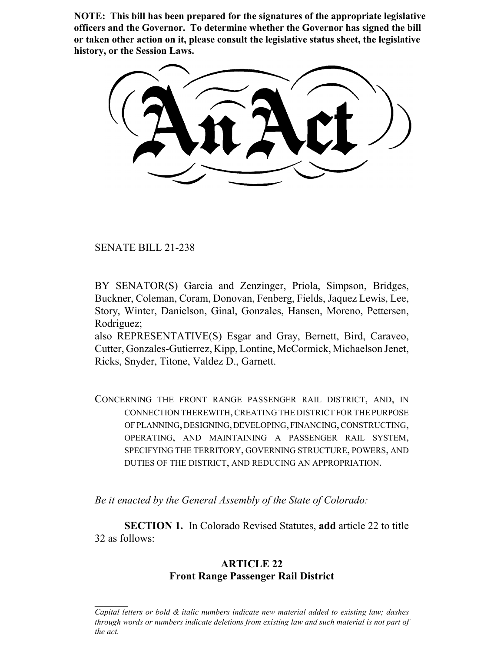**NOTE: This bill has been prepared for the signatures of the appropriate legislative officers and the Governor. To determine whether the Governor has signed the bill or taken other action on it, please consult the legislative status sheet, the legislative history, or the Session Laws.**

SENATE BILL 21-238

BY SENATOR(S) Garcia and Zenzinger, Priola, Simpson, Bridges, Buckner, Coleman, Coram, Donovan, Fenberg, Fields, Jaquez Lewis, Lee, Story, Winter, Danielson, Ginal, Gonzales, Hansen, Moreno, Pettersen, Rodriguez;

also REPRESENTATIVE(S) Esgar and Gray, Bernett, Bird, Caraveo, Cutter, Gonzales-Gutierrez, Kipp, Lontine, McCormick, Michaelson Jenet, Ricks, Snyder, Titone, Valdez D., Garnett.

CONCERNING THE FRONT RANGE PASSENGER RAIL DISTRICT, AND, IN CONNECTION THEREWITH, CREATING THE DISTRICT FOR THE PURPOSE OF PLANNING, DESIGNING, DEVELOPING, FINANCING, CONSTRUCTING, OPERATING, AND MAINTAINING A PASSENGER RAIL SYSTEM, SPECIFYING THE TERRITORY, GOVERNING STRUCTURE, POWERS, AND DUTIES OF THE DISTRICT, AND REDUCING AN APPROPRIATION.

*Be it enacted by the General Assembly of the State of Colorado:*

**SECTION 1.** In Colorado Revised Statutes, **add** article 22 to title 32 as follows:

# **ARTICLE 22 Front Range Passenger Rail District**

*Capital letters or bold & italic numbers indicate new material added to existing law; dashes through words or numbers indicate deletions from existing law and such material is not part of the act.*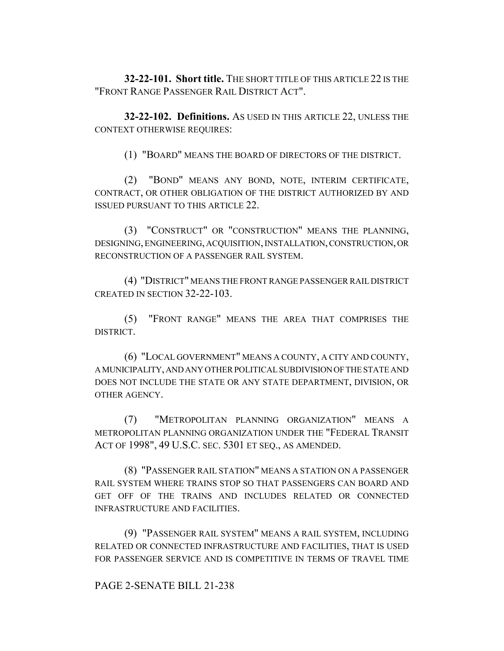**32-22-101. Short title.** THE SHORT TITLE OF THIS ARTICLE 22 IS THE "FRONT RANGE PASSENGER RAIL DISTRICT ACT".

**32-22-102. Definitions.** AS USED IN THIS ARTICLE 22, UNLESS THE CONTEXT OTHERWISE REQUIRES:

(1) "BOARD" MEANS THE BOARD OF DIRECTORS OF THE DISTRICT.

(2) "BOND" MEANS ANY BOND, NOTE, INTERIM CERTIFICATE, CONTRACT, OR OTHER OBLIGATION OF THE DISTRICT AUTHORIZED BY AND ISSUED PURSUANT TO THIS ARTICLE 22.

(3) "CONSTRUCT" OR "CONSTRUCTION" MEANS THE PLANNING, DESIGNING, ENGINEERING, ACQUISITION, INSTALLATION, CONSTRUCTION, OR RECONSTRUCTION OF A PASSENGER RAIL SYSTEM.

(4) "DISTRICT" MEANS THE FRONT RANGE PASSENGER RAIL DISTRICT CREATED IN SECTION 32-22-103.

(5) "FRONT RANGE" MEANS THE AREA THAT COMPRISES THE DISTRICT.

(6) "LOCAL GOVERNMENT" MEANS A COUNTY, A CITY AND COUNTY, A MUNICIPALITY, AND ANY OTHER POLITICAL SUBDIVISION OF THE STATE AND DOES NOT INCLUDE THE STATE OR ANY STATE DEPARTMENT, DIVISION, OR OTHER AGENCY.

(7) "METROPOLITAN PLANNING ORGANIZATION" MEANS A METROPOLITAN PLANNING ORGANIZATION UNDER THE "FEDERAL TRANSIT ACT OF 1998", 49 U.S.C. SEC. 5301 ET SEQ., AS AMENDED.

(8) "PASSENGER RAIL STATION" MEANS A STATION ON A PASSENGER RAIL SYSTEM WHERE TRAINS STOP SO THAT PASSENGERS CAN BOARD AND GET OFF OF THE TRAINS AND INCLUDES RELATED OR CONNECTED INFRASTRUCTURE AND FACILITIES.

(9) "PASSENGER RAIL SYSTEM" MEANS A RAIL SYSTEM, INCLUDING RELATED OR CONNECTED INFRASTRUCTURE AND FACILITIES, THAT IS USED FOR PASSENGER SERVICE AND IS COMPETITIVE IN TERMS OF TRAVEL TIME

### PAGE 2-SENATE BILL 21-238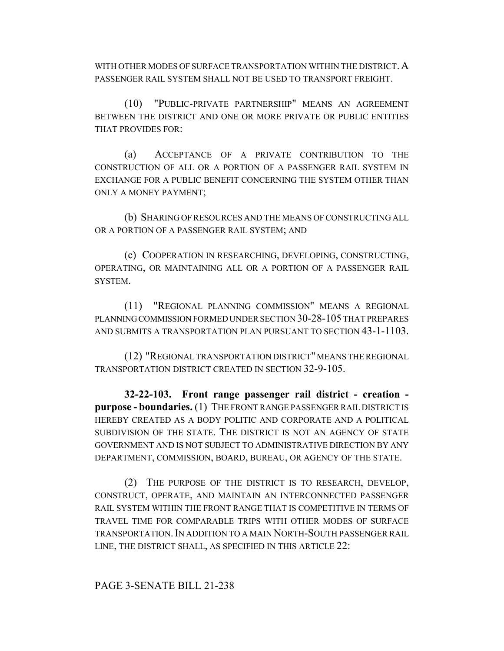WITH OTHER MODES OF SURFACE TRANSPORTATION WITHIN THE DISTRICT. A PASSENGER RAIL SYSTEM SHALL NOT BE USED TO TRANSPORT FREIGHT.

(10) "PUBLIC-PRIVATE PARTNERSHIP" MEANS AN AGREEMENT BETWEEN THE DISTRICT AND ONE OR MORE PRIVATE OR PUBLIC ENTITIES THAT PROVIDES FOR:

(a) ACCEPTANCE OF A PRIVATE CONTRIBUTION TO THE CONSTRUCTION OF ALL OR A PORTION OF A PASSENGER RAIL SYSTEM IN EXCHANGE FOR A PUBLIC BENEFIT CONCERNING THE SYSTEM OTHER THAN ONLY A MONEY PAYMENT;

(b) SHARING OF RESOURCES AND THE MEANS OF CONSTRUCTING ALL OR A PORTION OF A PASSENGER RAIL SYSTEM; AND

(c) COOPERATION IN RESEARCHING, DEVELOPING, CONSTRUCTING, OPERATING, OR MAINTAINING ALL OR A PORTION OF A PASSENGER RAIL SYSTEM.

(11) "REGIONAL PLANNING COMMISSION" MEANS A REGIONAL PLANNING COMMISSION FORMED UNDER SECTION 30-28-105 THAT PREPARES AND SUBMITS A TRANSPORTATION PLAN PURSUANT TO SECTION 43-1-1103.

(12) "REGIONAL TRANSPORTATION DISTRICT" MEANS THE REGIONAL TRANSPORTATION DISTRICT CREATED IN SECTION 32-9-105.

**32-22-103. Front range passenger rail district - creation purpose - boundaries.** (1) THE FRONT RANGE PASSENGER RAIL DISTRICT IS HEREBY CREATED AS A BODY POLITIC AND CORPORATE AND A POLITICAL SUBDIVISION OF THE STATE. THE DISTRICT IS NOT AN AGENCY OF STATE GOVERNMENT AND IS NOT SUBJECT TO ADMINISTRATIVE DIRECTION BY ANY DEPARTMENT, COMMISSION, BOARD, BUREAU, OR AGENCY OF THE STATE.

(2) THE PURPOSE OF THE DISTRICT IS TO RESEARCH, DEVELOP, CONSTRUCT, OPERATE, AND MAINTAIN AN INTERCONNECTED PASSENGER RAIL SYSTEM WITHIN THE FRONT RANGE THAT IS COMPETITIVE IN TERMS OF TRAVEL TIME FOR COMPARABLE TRIPS WITH OTHER MODES OF SURFACE TRANSPORTATION.IN ADDITION TO A MAIN NORTH-SOUTH PASSENGER RAIL LINE, THE DISTRICT SHALL, AS SPECIFIED IN THIS ARTICLE 22: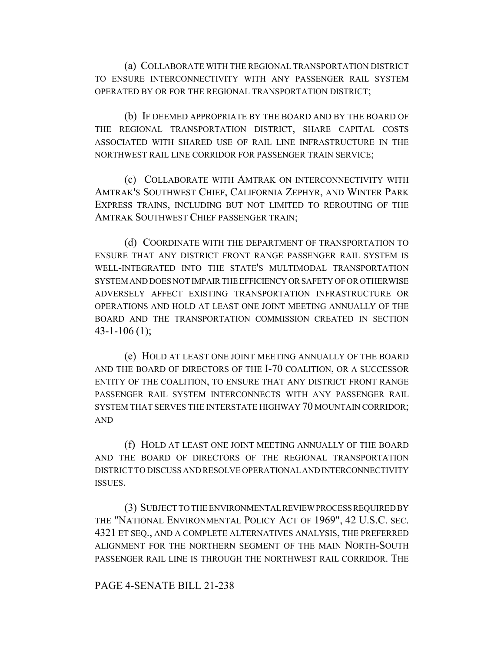(a) COLLABORATE WITH THE REGIONAL TRANSPORTATION DISTRICT TO ENSURE INTERCONNECTIVITY WITH ANY PASSENGER RAIL SYSTEM OPERATED BY OR FOR THE REGIONAL TRANSPORTATION DISTRICT;

(b) IF DEEMED APPROPRIATE BY THE BOARD AND BY THE BOARD OF THE REGIONAL TRANSPORTATION DISTRICT, SHARE CAPITAL COSTS ASSOCIATED WITH SHARED USE OF RAIL LINE INFRASTRUCTURE IN THE NORTHWEST RAIL LINE CORRIDOR FOR PASSENGER TRAIN SERVICE;

(c) COLLABORATE WITH AMTRAK ON INTERCONNECTIVITY WITH AMTRAK'S SOUTHWEST CHIEF, CALIFORNIA ZEPHYR, AND WINTER PARK EXPRESS TRAINS, INCLUDING BUT NOT LIMITED TO REROUTING OF THE AMTRAK SOUTHWEST CHIEF PASSENGER TRAIN;

(d) COORDINATE WITH THE DEPARTMENT OF TRANSPORTATION TO ENSURE THAT ANY DISTRICT FRONT RANGE PASSENGER RAIL SYSTEM IS WELL-INTEGRATED INTO THE STATE'S MULTIMODAL TRANSPORTATION SYSTEM AND DOES NOT IMPAIR THE EFFICIENCY OR SAFETY OF OR OTHERWISE ADVERSELY AFFECT EXISTING TRANSPORTATION INFRASTRUCTURE OR OPERATIONS AND HOLD AT LEAST ONE JOINT MEETING ANNUALLY OF THE BOARD AND THE TRANSPORTATION COMMISSION CREATED IN SECTION  $43 - 1 - 106$  (1);

(e) HOLD AT LEAST ONE JOINT MEETING ANNUALLY OF THE BOARD AND THE BOARD OF DIRECTORS OF THE I-70 COALITION, OR A SUCCESSOR ENTITY OF THE COALITION, TO ENSURE THAT ANY DISTRICT FRONT RANGE PASSENGER RAIL SYSTEM INTERCONNECTS WITH ANY PASSENGER RAIL SYSTEM THAT SERVES THE INTERSTATE HIGHWAY 70 MOUNTAIN CORRIDOR; AND

(f) HOLD AT LEAST ONE JOINT MEETING ANNUALLY OF THE BOARD AND THE BOARD OF DIRECTORS OF THE REGIONAL TRANSPORTATION DISTRICT TO DISCUSS AND RESOLVE OPERATIONAL AND INTERCONNECTIVITY ISSUES.

(3) SUBJECT TO THE ENVIRONMENTAL REVIEW PROCESS REQUIRED BY THE "NATIONAL ENVIRONMENTAL POLICY ACT OF 1969", 42 U.S.C. SEC. 4321 ET SEQ., AND A COMPLETE ALTERNATIVES ANALYSIS, THE PREFERRED ALIGNMENT FOR THE NORTHERN SEGMENT OF THE MAIN NORTH-SOUTH PASSENGER RAIL LINE IS THROUGH THE NORTHWEST RAIL CORRIDOR. THE

### PAGE 4-SENATE BILL 21-238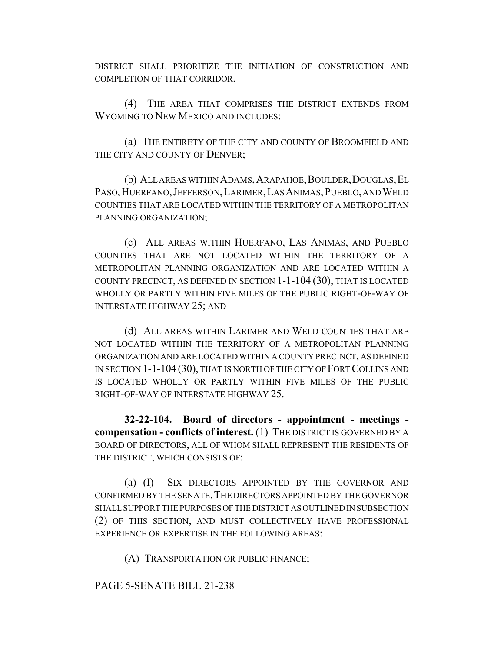DISTRICT SHALL PRIORITIZE THE INITIATION OF CONSTRUCTION AND COMPLETION OF THAT CORRIDOR.

(4) THE AREA THAT COMPRISES THE DISTRICT EXTENDS FROM WYOMING TO NEW MEXICO AND INCLUDES:

(a) THE ENTIRETY OF THE CITY AND COUNTY OF BROOMFIELD AND THE CITY AND COUNTY OF DENVER;

(b) ALL AREAS WITHIN ADAMS, ARAPAHOE, BOULDER, DOUGLAS, EL PASO,HUERFANO,JEFFERSON,LARIMER,LAS ANIMAS,PUEBLO, AND WELD COUNTIES THAT ARE LOCATED WITHIN THE TERRITORY OF A METROPOLITAN PLANNING ORGANIZATION;

(c) ALL AREAS WITHIN HUERFANO, LAS ANIMAS, AND PUEBLO COUNTIES THAT ARE NOT LOCATED WITHIN THE TERRITORY OF A METROPOLITAN PLANNING ORGANIZATION AND ARE LOCATED WITHIN A COUNTY PRECINCT, AS DEFINED IN SECTION 1-1-104 (30), THAT IS LOCATED WHOLLY OR PARTLY WITHIN FIVE MILES OF THE PUBLIC RIGHT-OF-WAY OF INTERSTATE HIGHWAY 25; AND

(d) ALL AREAS WITHIN LARIMER AND WELD COUNTIES THAT ARE NOT LOCATED WITHIN THE TERRITORY OF A METROPOLITAN PLANNING ORGANIZATION AND ARE LOCATED WITHIN A COUNTY PRECINCT, AS DEFINED IN SECTION 1-1-104 (30), THAT IS NORTH OF THE CITY OF FORT COLLINS AND IS LOCATED WHOLLY OR PARTLY WITHIN FIVE MILES OF THE PUBLIC RIGHT-OF-WAY OF INTERSTATE HIGHWAY 25.

**32-22-104. Board of directors - appointment - meetings compensation - conflicts of interest.** (1) THE DISTRICT IS GOVERNED BY A BOARD OF DIRECTORS, ALL OF WHOM SHALL REPRESENT THE RESIDENTS OF THE DISTRICT, WHICH CONSISTS OF:

(a) (I) SIX DIRECTORS APPOINTED BY THE GOVERNOR AND CONFIRMED BY THE SENATE. THE DIRECTORS APPOINTED BY THE GOVERNOR SHALL SUPPORT THE PURPOSES OF THE DISTRICT AS OUTLINED IN SUBSECTION (2) OF THIS SECTION, AND MUST COLLECTIVELY HAVE PROFESSIONAL EXPERIENCE OR EXPERTISE IN THE FOLLOWING AREAS:

(A) TRANSPORTATION OR PUBLIC FINANCE;

PAGE 5-SENATE BILL 21-238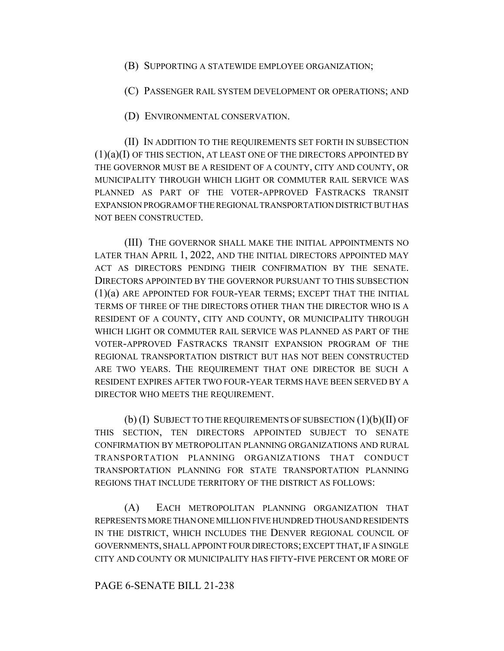(B) SUPPORTING A STATEWIDE EMPLOYEE ORGANIZATION;

(C) PASSENGER RAIL SYSTEM DEVELOPMENT OR OPERATIONS; AND

(D) ENVIRONMENTAL CONSERVATION.

(II) IN ADDITION TO THE REQUIREMENTS SET FORTH IN SUBSECTION  $(1)(a)(I)$  OF THIS SECTION, AT LEAST ONE OF THE DIRECTORS APPOINTED BY THE GOVERNOR MUST BE A RESIDENT OF A COUNTY, CITY AND COUNTY, OR MUNICIPALITY THROUGH WHICH LIGHT OR COMMUTER RAIL SERVICE WAS PLANNED AS PART OF THE VOTER-APPROVED FASTRACKS TRANSIT EXPANSION PROGRAM OF THE REGIONAL TRANSPORTATION DISTRICT BUT HAS NOT BEEN CONSTRUCTED.

(III) THE GOVERNOR SHALL MAKE THE INITIAL APPOINTMENTS NO LATER THAN APRIL 1, 2022, AND THE INITIAL DIRECTORS APPOINTED MAY ACT AS DIRECTORS PENDING THEIR CONFIRMATION BY THE SENATE. DIRECTORS APPOINTED BY THE GOVERNOR PURSUANT TO THIS SUBSECTION (1)(a) ARE APPOINTED FOR FOUR-YEAR TERMS; EXCEPT THAT THE INITIAL TERMS OF THREE OF THE DIRECTORS OTHER THAN THE DIRECTOR WHO IS A RESIDENT OF A COUNTY, CITY AND COUNTY, OR MUNICIPALITY THROUGH WHICH LIGHT OR COMMUTER RAIL SERVICE WAS PLANNED AS PART OF THE VOTER-APPROVED FASTRACKS TRANSIT EXPANSION PROGRAM OF THE REGIONAL TRANSPORTATION DISTRICT BUT HAS NOT BEEN CONSTRUCTED ARE TWO YEARS. THE REQUIREMENT THAT ONE DIRECTOR BE SUCH A RESIDENT EXPIRES AFTER TWO FOUR-YEAR TERMS HAVE BEEN SERVED BY A DIRECTOR WHO MEETS THE REQUIREMENT.

 $(b)$  (I) SUBJECT TO THE REQUIREMENTS OF SUBSECTION  $(1)(b)(II)$  OF THIS SECTION, TEN DIRECTORS APPOINTED SUBJECT TO SENATE CONFIRMATION BY METROPOLITAN PLANNING ORGANIZATIONS AND RURAL TRANSPORTATION PLANNING ORGANIZATIONS THAT CONDUCT TRANSPORTATION PLANNING FOR STATE TRANSPORTATION PLANNING REGIONS THAT INCLUDE TERRITORY OF THE DISTRICT AS FOLLOWS:

(A) EACH METROPOLITAN PLANNING ORGANIZATION THAT REPRESENTS MORE THAN ONE MILLION FIVE HUNDRED THOUSAND RESIDENTS IN THE DISTRICT, WHICH INCLUDES THE DENVER REGIONAL COUNCIL OF GOVERNMENTS, SHALL APPOINT FOUR DIRECTORS; EXCEPT THAT, IF A SINGLE CITY AND COUNTY OR MUNICIPALITY HAS FIFTY-FIVE PERCENT OR MORE OF

### PAGE 6-SENATE BILL 21-238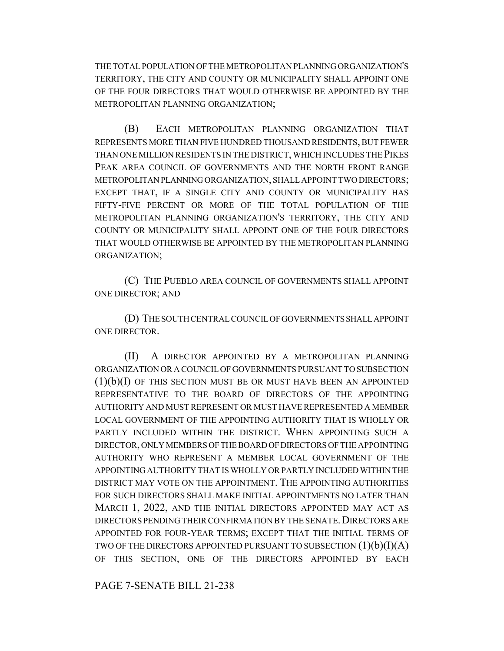THE TOTAL POPULATION OF THE METROPOLITAN PLANNING ORGANIZATION'S TERRITORY, THE CITY AND COUNTY OR MUNICIPALITY SHALL APPOINT ONE OF THE FOUR DIRECTORS THAT WOULD OTHERWISE BE APPOINTED BY THE METROPOLITAN PLANNING ORGANIZATION;

(B) EACH METROPOLITAN PLANNING ORGANIZATION THAT REPRESENTS MORE THAN FIVE HUNDRED THOUSAND RESIDENTS, BUT FEWER THAN ONE MILLION RESIDENTS IN THE DISTRICT, WHICH INCLUDES THE PIKES PEAK AREA COUNCIL OF GOVERNMENTS AND THE NORTH FRONT RANGE METROPOLITAN PLANNING ORGANIZATION, SHALL APPOINT TWO DIRECTORS; EXCEPT THAT, IF A SINGLE CITY AND COUNTY OR MUNICIPALITY HAS FIFTY-FIVE PERCENT OR MORE OF THE TOTAL POPULATION OF THE METROPOLITAN PLANNING ORGANIZATION'S TERRITORY, THE CITY AND COUNTY OR MUNICIPALITY SHALL APPOINT ONE OF THE FOUR DIRECTORS THAT WOULD OTHERWISE BE APPOINTED BY THE METROPOLITAN PLANNING ORGANIZATION;

(C) THE PUEBLO AREA COUNCIL OF GOVERNMENTS SHALL APPOINT ONE DIRECTOR; AND

(D) THE SOUTH CENTRAL COUNCIL OF GOVERNMENTS SHALL APPOINT ONE DIRECTOR.

(II) A DIRECTOR APPOINTED BY A METROPOLITAN PLANNING ORGANIZATION OR A COUNCIL OF GOVERNMENTS PURSUANT TO SUBSECTION  $(1)(b)(I)$  OF THIS SECTION MUST BE OR MUST HAVE BEEN AN APPOINTED REPRESENTATIVE TO THE BOARD OF DIRECTORS OF THE APPOINTING AUTHORITY AND MUST REPRESENT OR MUST HAVE REPRESENTED A MEMBER LOCAL GOVERNMENT OF THE APPOINTING AUTHORITY THAT IS WHOLLY OR PARTLY INCLUDED WITHIN THE DISTRICT. WHEN APPOINTING SUCH A DIRECTOR, ONLY MEMBERS OF THE BOARD OF DIRECTORS OF THE APPOINTING AUTHORITY WHO REPRESENT A MEMBER LOCAL GOVERNMENT OF THE APPOINTING AUTHORITY THAT IS WHOLLY OR PARTLY INCLUDED WITHIN THE DISTRICT MAY VOTE ON THE APPOINTMENT. THE APPOINTING AUTHORITIES FOR SUCH DIRECTORS SHALL MAKE INITIAL APPOINTMENTS NO LATER THAN MARCH 1, 2022, AND THE INITIAL DIRECTORS APPOINTED MAY ACT AS DIRECTORS PENDING THEIR CONFIRMATION BY THE SENATE. DIRECTORS ARE APPOINTED FOR FOUR-YEAR TERMS; EXCEPT THAT THE INITIAL TERMS OF TWO OF THE DIRECTORS APPOINTED PURSUANT TO SUBSECTION  $(1)(b)(I)(A)$ OF THIS SECTION, ONE OF THE DIRECTORS APPOINTED BY EACH

PAGE 7-SENATE BILL 21-238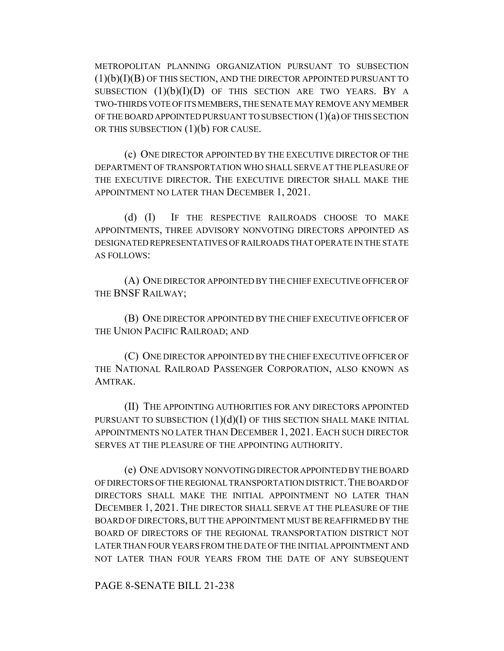METROPOLITAN PLANNING ORGANIZATION PURSUANT TO SUBSECTION  $(1)(b)(I)(B)$  OF THIS SECTION, AND THE DIRECTOR APPOINTED PURSUANT TO SUBSECTION  $(1)(b)(I)(D)$  of this section are two years. By a TWO-THIRDS VOTE OF ITS MEMBERS, THE SENATE MAY REMOVE ANY MEMBER OF THE BOARD APPOINTED PURSUANT TO SUBSECTION  $(1)(a)$  OF THIS SECTION OR THIS SUBSECTION  $(1)(b)$  FOR CAUSE.

(c) ONE DIRECTOR APPOINTED BY THE EXECUTIVE DIRECTOR OF THE DEPARTMENT OF TRANSPORTATION WHO SHALL SERVE AT THE PLEASURE OF THE EXECUTIVE DIRECTOR. THE EXECUTIVE DIRECTOR SHALL MAKE THE APPOINTMENT NO LATER THAN DECEMBER 1, 2021.

(d) (I) IF THE RESPECTIVE RAILROADS CHOOSE TO MAKE APPOINTMENTS, THREE ADVISORY NONVOTING DIRECTORS APPOINTED AS DESIGNATED REPRESENTATIVES OF RAILROADS THAT OPERATE IN THE STATE AS FOLLOWS:

(A) ONE DIRECTOR APPOINTED BY THE CHIEF EXECUTIVE OFFICER OF THE BNSF RAILWAY;

(B) ONE DIRECTOR APPOINTED BY THE CHIEF EXECUTIVE OFFICER OF THE UNION PACIFIC RAILROAD; AND

(C) ONE DIRECTOR APPOINTED BY THE CHIEF EXECUTIVE OFFICER OF THE NATIONAL RAILROAD PASSENGER CORPORATION, ALSO KNOWN AS AMTRAK.

(II) THE APPOINTING AUTHORITIES FOR ANY DIRECTORS APPOINTED PURSUANT TO SUBSECTION  $(1)(d)(I)$  OF THIS SECTION SHALL MAKE INITIAL APPOINTMENTS NO LATER THAN DECEMBER 1, 2021. EACH SUCH DIRECTOR SERVES AT THE PLEASURE OF THE APPOINTING AUTHORITY.

(e) ONE ADVISORY NONVOTING DIRECTOR APPOINTED BY THE BOARD OF DIRECTORS OF THE REGIONAL TRANSPORTATION DISTRICT. THE BOARD OF DIRECTORS SHALL MAKE THE INITIAL APPOINTMENT NO LATER THAN DECEMBER 1, 2021. THE DIRECTOR SHALL SERVE AT THE PLEASURE OF THE BOARD OF DIRECTORS, BUT THE APPOINTMENT MUST BE REAFFIRMED BY THE BOARD OF DIRECTORS OF THE REGIONAL TRANSPORTATION DISTRICT NOT LATER THAN FOUR YEARS FROM THE DATE OF THE INITIAL APPOINTMENT AND NOT LATER THAN FOUR YEARS FROM THE DATE OF ANY SUBSEQUENT

PAGE 8-SENATE BILL 21-238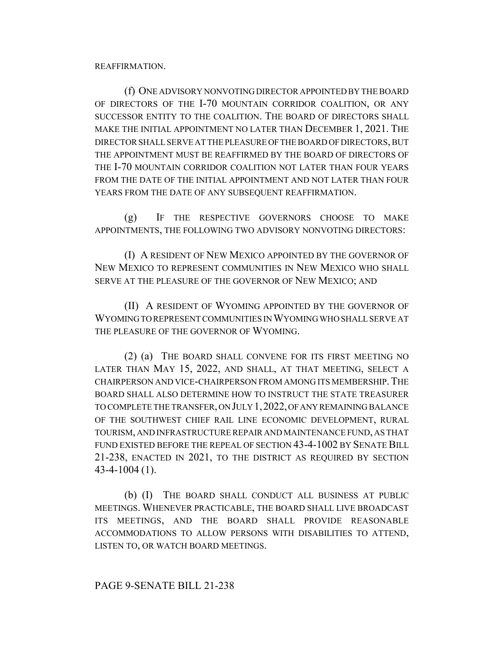#### REAFFIRMATION.

(f) ONE ADVISORY NONVOTING DIRECTOR APPOINTED BY THE BOARD OF DIRECTORS OF THE I-70 MOUNTAIN CORRIDOR COALITION, OR ANY SUCCESSOR ENTITY TO THE COALITION. THE BOARD OF DIRECTORS SHALL MAKE THE INITIAL APPOINTMENT NO LATER THAN DECEMBER 1, 2021. THE DIRECTOR SHALL SERVE AT THE PLEASURE OF THE BOARD OF DIRECTORS, BUT THE APPOINTMENT MUST BE REAFFIRMED BY THE BOARD OF DIRECTORS OF THE I-70 MOUNTAIN CORRIDOR COALITION NOT LATER THAN FOUR YEARS FROM THE DATE OF THE INITIAL APPOINTMENT AND NOT LATER THAN FOUR YEARS FROM THE DATE OF ANY SUBSEQUENT REAFFIRMATION.

(g) IF THE RESPECTIVE GOVERNORS CHOOSE TO MAKE APPOINTMENTS, THE FOLLOWING TWO ADVISORY NONVOTING DIRECTORS:

(I) A RESIDENT OF NEW MEXICO APPOINTED BY THE GOVERNOR OF NEW MEXICO TO REPRESENT COMMUNITIES IN NEW MEXICO WHO SHALL SERVE AT THE PLEASURE OF THE GOVERNOR OF NEW MEXICO; AND

(II) A RESIDENT OF WYOMING APPOINTED BY THE GOVERNOR OF WYOMING TO REPRESENT COMMUNITIES IN WYOMING WHO SHALL SERVE AT THE PLEASURE OF THE GOVERNOR OF WYOMING.

(2) (a) THE BOARD SHALL CONVENE FOR ITS FIRST MEETING NO LATER THAN MAY 15, 2022, AND SHALL, AT THAT MEETING, SELECT A CHAIRPERSON AND VICE-CHAIRPERSON FROM AMONG ITS MEMBERSHIP.THE BOARD SHALL ALSO DETERMINE HOW TO INSTRUCT THE STATE TREASURER TO COMPLETE THE TRANSFER, ON JULY 1,2022, OF ANY REMAINING BALANCE OF THE SOUTHWEST CHIEF RAIL LINE ECONOMIC DEVELOPMENT, RURAL TOURISM, AND INFRASTRUCTURE REPAIR AND MAINTENANCE FUND, AS THAT FUND EXISTED BEFORE THE REPEAL OF SECTION 43-4-1002 BY SENATE BILL 21-238, ENACTED IN 2021, TO THE DISTRICT AS REQUIRED BY SECTION 43-4-1004 (1).

(b) (I) THE BOARD SHALL CONDUCT ALL BUSINESS AT PUBLIC MEETINGS. WHENEVER PRACTICABLE, THE BOARD SHALL LIVE BROADCAST ITS MEETINGS, AND THE BOARD SHALL PROVIDE REASONABLE ACCOMMODATIONS TO ALLOW PERSONS WITH DISABILITIES TO ATTEND, LISTEN TO, OR WATCH BOARD MEETINGS.

#### PAGE 9-SENATE BILL 21-238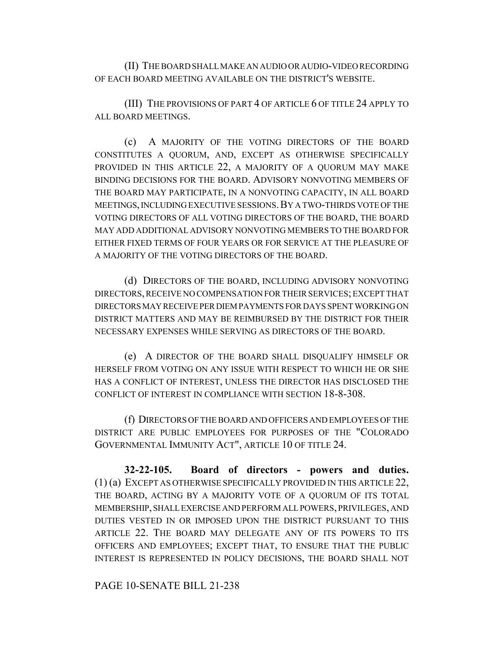(II) THE BOARD SHALL MAKE AN AUDIO OR AUDIO-VIDEO RECORDING OF EACH BOARD MEETING AVAILABLE ON THE DISTRICT'S WEBSITE.

(III) THE PROVISIONS OF PART 4 OF ARTICLE 6 OF TITLE 24 APPLY TO ALL BOARD MEETINGS.

(c) A MAJORITY OF THE VOTING DIRECTORS OF THE BOARD CONSTITUTES A QUORUM, AND, EXCEPT AS OTHERWISE SPECIFICALLY PROVIDED IN THIS ARTICLE 22, A MAJORITY OF A QUORUM MAY MAKE BINDING DECISIONS FOR THE BOARD. ADVISORY NONVOTING MEMBERS OF THE BOARD MAY PARTICIPATE, IN A NONVOTING CAPACITY, IN ALL BOARD MEETINGS, INCLUDING EXECUTIVE SESSIONS.BY A TWO-THIRDS VOTE OF THE VOTING DIRECTORS OF ALL VOTING DIRECTORS OF THE BOARD, THE BOARD MAY ADD ADDITIONAL ADVISORY NONVOTING MEMBERS TO THE BOARD FOR EITHER FIXED TERMS OF FOUR YEARS OR FOR SERVICE AT THE PLEASURE OF A MAJORITY OF THE VOTING DIRECTORS OF THE BOARD.

(d) DIRECTORS OF THE BOARD, INCLUDING ADVISORY NONVOTING DIRECTORS, RECEIVE NO COMPENSATION FOR THEIR SERVICES; EXCEPT THAT DIRECTORS MAY RECEIVE PER DIEM PAYMENTS FOR DAYS SPENT WORKING ON DISTRICT MATTERS AND MAY BE REIMBURSED BY THE DISTRICT FOR THEIR NECESSARY EXPENSES WHILE SERVING AS DIRECTORS OF THE BOARD.

(e) A DIRECTOR OF THE BOARD SHALL DISQUALIFY HIMSELF OR HERSELF FROM VOTING ON ANY ISSUE WITH RESPECT TO WHICH HE OR SHE HAS A CONFLICT OF INTEREST, UNLESS THE DIRECTOR HAS DISCLOSED THE CONFLICT OF INTEREST IN COMPLIANCE WITH SECTION 18-8-308.

(f) DIRECTORS OF THE BOARD AND OFFICERS AND EMPLOYEES OF THE DISTRICT ARE PUBLIC EMPLOYEES FOR PURPOSES OF THE "COLORADO GOVERNMENTAL IMMUNITY ACT", ARTICLE 10 OF TITLE 24.

**32-22-105. Board of directors - powers and duties.** (1) (a) EXCEPT AS OTHERWISE SPECIFICALLY PROVIDED IN THIS ARTICLE 22, THE BOARD, ACTING BY A MAJORITY VOTE OF A QUORUM OF ITS TOTAL MEMBERSHIP, SHALL EXERCISE AND PERFORM ALL POWERS, PRIVILEGES, AND DUTIES VESTED IN OR IMPOSED UPON THE DISTRICT PURSUANT TO THIS ARTICLE 22. THE BOARD MAY DELEGATE ANY OF ITS POWERS TO ITS OFFICERS AND EMPLOYEES; EXCEPT THAT, TO ENSURE THAT THE PUBLIC INTEREST IS REPRESENTED IN POLICY DECISIONS, THE BOARD SHALL NOT

PAGE 10-SENATE BILL 21-238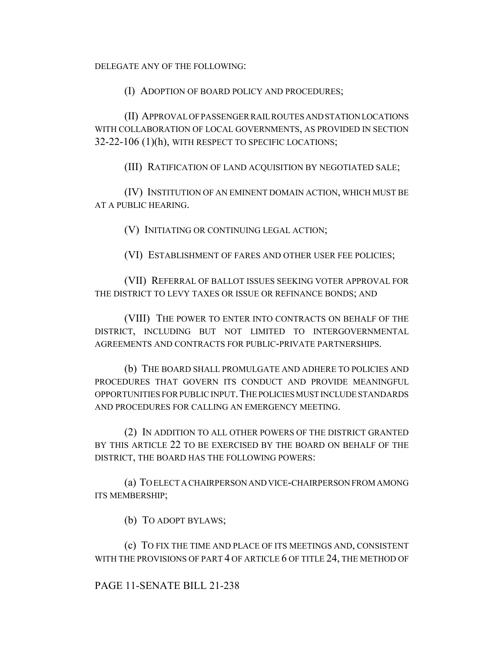DELEGATE ANY OF THE FOLLOWING:

(I) ADOPTION OF BOARD POLICY AND PROCEDURES;

(II) APPROVAL OF PASSENGER RAIL ROUTES AND STATION LOCATIONS WITH COLLABORATION OF LOCAL GOVERNMENTS, AS PROVIDED IN SECTION 32-22-106 (1)(h), WITH RESPECT TO SPECIFIC LOCATIONS;

(III) RATIFICATION OF LAND ACQUISITION BY NEGOTIATED SALE;

(IV) INSTITUTION OF AN EMINENT DOMAIN ACTION, WHICH MUST BE AT A PUBLIC HEARING.

(V) INITIATING OR CONTINUING LEGAL ACTION;

(VI) ESTABLISHMENT OF FARES AND OTHER USER FEE POLICIES;

(VII) REFERRAL OF BALLOT ISSUES SEEKING VOTER APPROVAL FOR THE DISTRICT TO LEVY TAXES OR ISSUE OR REFINANCE BONDS; AND

(VIII) THE POWER TO ENTER INTO CONTRACTS ON BEHALF OF THE DISTRICT, INCLUDING BUT NOT LIMITED TO INTERGOVERNMENTAL AGREEMENTS AND CONTRACTS FOR PUBLIC-PRIVATE PARTNERSHIPS.

(b) THE BOARD SHALL PROMULGATE AND ADHERE TO POLICIES AND PROCEDURES THAT GOVERN ITS CONDUCT AND PROVIDE MEANINGFUL OPPORTUNITIES FOR PUBLIC INPUT.THE POLICIES MUST INCLUDE STANDARDS AND PROCEDURES FOR CALLING AN EMERGENCY MEETING.

(2) IN ADDITION TO ALL OTHER POWERS OF THE DISTRICT GRANTED BY THIS ARTICLE 22 TO BE EXERCISED BY THE BOARD ON BEHALF OF THE DISTRICT, THE BOARD HAS THE FOLLOWING POWERS:

(a) TO ELECT A CHAIRPERSON AND VICE-CHAIRPERSON FROM AMONG ITS MEMBERSHIP;

(b) TO ADOPT BYLAWS;

(c) TO FIX THE TIME AND PLACE OF ITS MEETINGS AND, CONSISTENT WITH THE PROVISIONS OF PART 4 OF ARTICLE 6 OF TITLE 24, THE METHOD OF

# PAGE 11-SENATE BILL 21-238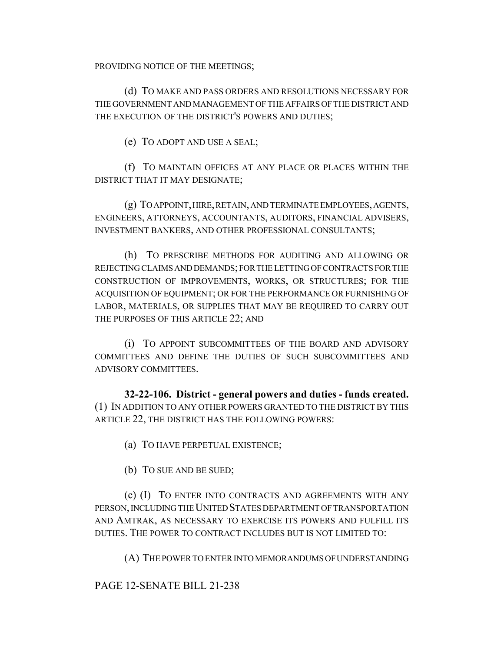PROVIDING NOTICE OF THE MEETINGS;

(d) TO MAKE AND PASS ORDERS AND RESOLUTIONS NECESSARY FOR THE GOVERNMENT AND MANAGEMENT OF THE AFFAIRS OF THE DISTRICT AND THE EXECUTION OF THE DISTRICT'S POWERS AND DUTIES;

(e) TO ADOPT AND USE A SEAL;

(f) TO MAINTAIN OFFICES AT ANY PLACE OR PLACES WITHIN THE DISTRICT THAT IT MAY DESIGNATE;

(g) TO APPOINT, HIRE, RETAIN, AND TERMINATE EMPLOYEES, AGENTS, ENGINEERS, ATTORNEYS, ACCOUNTANTS, AUDITORS, FINANCIAL ADVISERS, INVESTMENT BANKERS, AND OTHER PROFESSIONAL CONSULTANTS;

(h) TO PRESCRIBE METHODS FOR AUDITING AND ALLOWING OR REJECTING CLAIMS AND DEMANDS; FOR THE LETTING OF CONTRACTS FOR THE CONSTRUCTION OF IMPROVEMENTS, WORKS, OR STRUCTURES; FOR THE ACQUISITION OF EQUIPMENT; OR FOR THE PERFORMANCE OR FURNISHING OF LABOR, MATERIALS, OR SUPPLIES THAT MAY BE REQUIRED TO CARRY OUT THE PURPOSES OF THIS ARTICLE 22; AND

(i) TO APPOINT SUBCOMMITTEES OF THE BOARD AND ADVISORY COMMITTEES AND DEFINE THE DUTIES OF SUCH SUBCOMMITTEES AND ADVISORY COMMITTEES.

**32-22-106. District - general powers and duties - funds created.** (1) IN ADDITION TO ANY OTHER POWERS GRANTED TO THE DISTRICT BY THIS ARTICLE 22, THE DISTRICT HAS THE FOLLOWING POWERS:

(a) TO HAVE PERPETUAL EXISTENCE;

(b) TO SUE AND BE SUED;

(c) (I) TO ENTER INTO CONTRACTS AND AGREEMENTS WITH ANY PERSON, INCLUDING THE UNITED STATES DEPARTMENT OF TRANSPORTATION AND AMTRAK, AS NECESSARY TO EXERCISE ITS POWERS AND FULFILL ITS DUTIES. THE POWER TO CONTRACT INCLUDES BUT IS NOT LIMITED TO:

(A) THE POWER TO ENTER INTO MEMORANDUMS OF UNDERSTANDING

PAGE 12-SENATE BILL 21-238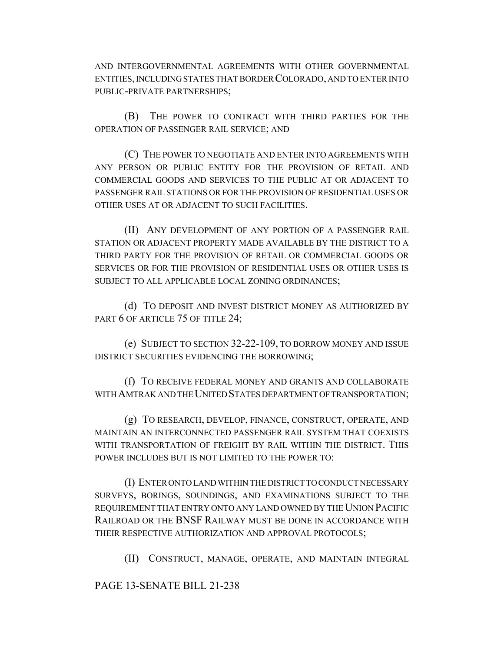AND INTERGOVERNMENTAL AGREEMENTS WITH OTHER GOVERNMENTAL ENTITIES, INCLUDING STATES THAT BORDER COLORADO, AND TO ENTER INTO PUBLIC-PRIVATE PARTNERSHIPS;

(B) THE POWER TO CONTRACT WITH THIRD PARTIES FOR THE OPERATION OF PASSENGER RAIL SERVICE; AND

(C) THE POWER TO NEGOTIATE AND ENTER INTO AGREEMENTS WITH ANY PERSON OR PUBLIC ENTITY FOR THE PROVISION OF RETAIL AND COMMERCIAL GOODS AND SERVICES TO THE PUBLIC AT OR ADJACENT TO PASSENGER RAIL STATIONS OR FOR THE PROVISION OF RESIDENTIAL USES OR OTHER USES AT OR ADJACENT TO SUCH FACILITIES.

(II) ANY DEVELOPMENT OF ANY PORTION OF A PASSENGER RAIL STATION OR ADJACENT PROPERTY MADE AVAILABLE BY THE DISTRICT TO A THIRD PARTY FOR THE PROVISION OF RETAIL OR COMMERCIAL GOODS OR SERVICES OR FOR THE PROVISION OF RESIDENTIAL USES OR OTHER USES IS SUBJECT TO ALL APPLICABLE LOCAL ZONING ORDINANCES;

(d) TO DEPOSIT AND INVEST DISTRICT MONEY AS AUTHORIZED BY PART 6 OF ARTICLE 75 OF TITLE 24;

(e) SUBJECT TO SECTION 32-22-109, TO BORROW MONEY AND ISSUE DISTRICT SECURITIES EVIDENCING THE BORROWING;

(f) TO RECEIVE FEDERAL MONEY AND GRANTS AND COLLABORATE WITH AMTRAK AND THE UNITED STATES DEPARTMENT OF TRANSPORTATION;

(g) TO RESEARCH, DEVELOP, FINANCE, CONSTRUCT, OPERATE, AND MAINTAIN AN INTERCONNECTED PASSENGER RAIL SYSTEM THAT COEXISTS WITH TRANSPORTATION OF FREIGHT BY RAIL WITHIN THE DISTRICT. THIS POWER INCLUDES BUT IS NOT LIMITED TO THE POWER TO:

(I) ENTER ONTO LAND WITHIN THE DISTRICT TO CONDUCT NECESSARY SURVEYS, BORINGS, SOUNDINGS, AND EXAMINATIONS SUBJECT TO THE REQUIREMENT THAT ENTRY ONTO ANY LAND OWNED BY THE UNION PACIFIC RAILROAD OR THE BNSF RAILWAY MUST BE DONE IN ACCORDANCE WITH THEIR RESPECTIVE AUTHORIZATION AND APPROVAL PROTOCOLS;

(II) CONSTRUCT, MANAGE, OPERATE, AND MAINTAIN INTEGRAL

PAGE 13-SENATE BILL 21-238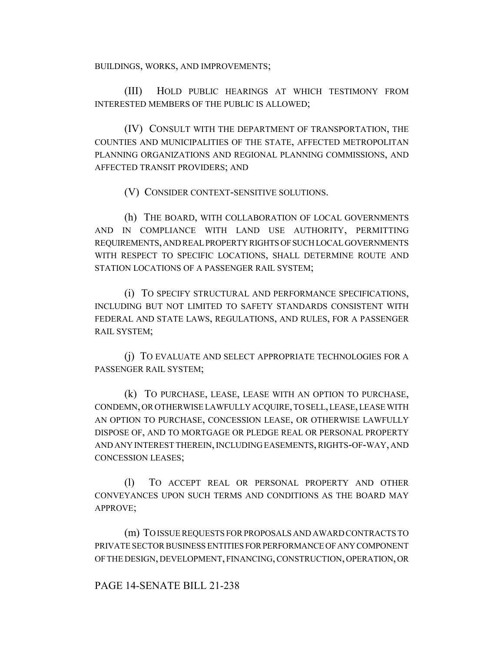BUILDINGS, WORKS, AND IMPROVEMENTS;

(III) HOLD PUBLIC HEARINGS AT WHICH TESTIMONY FROM INTERESTED MEMBERS OF THE PUBLIC IS ALLOWED;

(IV) CONSULT WITH THE DEPARTMENT OF TRANSPORTATION, THE COUNTIES AND MUNICIPALITIES OF THE STATE, AFFECTED METROPOLITAN PLANNING ORGANIZATIONS AND REGIONAL PLANNING COMMISSIONS, AND AFFECTED TRANSIT PROVIDERS; AND

(V) CONSIDER CONTEXT-SENSITIVE SOLUTIONS.

(h) THE BOARD, WITH COLLABORATION OF LOCAL GOVERNMENTS AND IN COMPLIANCE WITH LAND USE AUTHORITY, PERMITTING REQUIREMENTS, AND REAL PROPERTY RIGHTS OF SUCH LOCAL GOVERNMENTS WITH RESPECT TO SPECIFIC LOCATIONS, SHALL DETERMINE ROUTE AND STATION LOCATIONS OF A PASSENGER RAIL SYSTEM;

(i) TO SPECIFY STRUCTURAL AND PERFORMANCE SPECIFICATIONS, INCLUDING BUT NOT LIMITED TO SAFETY STANDARDS CONSISTENT WITH FEDERAL AND STATE LAWS, REGULATIONS, AND RULES, FOR A PASSENGER RAIL SYSTEM;

(j) TO EVALUATE AND SELECT APPROPRIATE TECHNOLOGIES FOR A PASSENGER RAIL SYSTEM;

(k) TO PURCHASE, LEASE, LEASE WITH AN OPTION TO PURCHASE, CONDEMN, OR OTHERWISE LAWFULLY ACQUIRE, TO SELL, LEASE, LEASE WITH AN OPTION TO PURCHASE, CONCESSION LEASE, OR OTHERWISE LAWFULLY DISPOSE OF, AND TO MORTGAGE OR PLEDGE REAL OR PERSONAL PROPERTY AND ANY INTEREST THEREIN, INCLUDING EASEMENTS, RIGHTS-OF-WAY, AND CONCESSION LEASES;

(l) TO ACCEPT REAL OR PERSONAL PROPERTY AND OTHER CONVEYANCES UPON SUCH TERMS AND CONDITIONS AS THE BOARD MAY APPROVE;

(m) TO ISSUE REQUESTS FOR PROPOSALS AND AWARD CONTRACTS TO PRIVATE SECTOR BUSINESS ENTITIES FOR PERFORMANCE OF ANY COMPONENT OF THE DESIGN, DEVELOPMENT, FINANCING, CONSTRUCTION, OPERATION, OR

# PAGE 14-SENATE BILL 21-238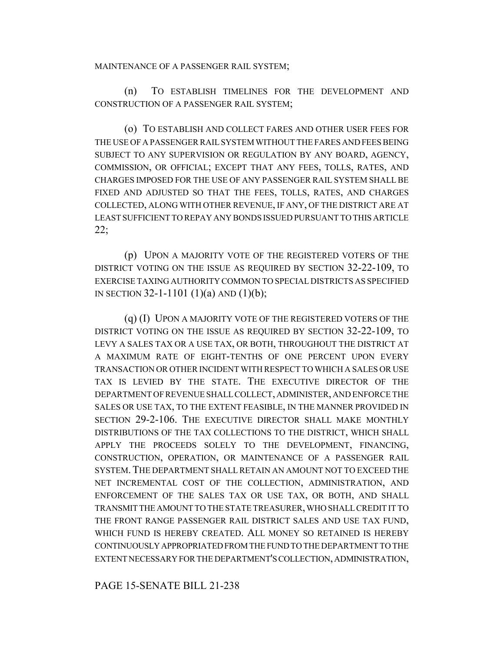#### MAINTENANCE OF A PASSENGER RAIL SYSTEM;

(n) TO ESTABLISH TIMELINES FOR THE DEVELOPMENT AND CONSTRUCTION OF A PASSENGER RAIL SYSTEM;

(o) TO ESTABLISH AND COLLECT FARES AND OTHER USER FEES FOR THE USE OF A PASSENGER RAIL SYSTEM WITHOUT THE FARES AND FEES BEING SUBJECT TO ANY SUPERVISION OR REGULATION BY ANY BOARD, AGENCY, COMMISSION, OR OFFICIAL; EXCEPT THAT ANY FEES, TOLLS, RATES, AND CHARGES IMPOSED FOR THE USE OF ANY PASSENGER RAIL SYSTEM SHALL BE FIXED AND ADJUSTED SO THAT THE FEES, TOLLS, RATES, AND CHARGES COLLECTED, ALONG WITH OTHER REVENUE, IF ANY, OF THE DISTRICT ARE AT LEAST SUFFICIENT TO REPAY ANY BONDS ISSUED PURSUANT TO THIS ARTICLE 22;

(p) UPON A MAJORITY VOTE OF THE REGISTERED VOTERS OF THE DISTRICT VOTING ON THE ISSUE AS REQUIRED BY SECTION 32-22-109, TO EXERCISE TAXING AUTHORITY COMMON TO SPECIAL DISTRICTS AS SPECIFIED IN SECTION 32-1-1101 (1)(a) AND (1)(b);

(q) (I) UPON A MAJORITY VOTE OF THE REGISTERED VOTERS OF THE DISTRICT VOTING ON THE ISSUE AS REQUIRED BY SECTION 32-22-109, TO LEVY A SALES TAX OR A USE TAX, OR BOTH, THROUGHOUT THE DISTRICT AT A MAXIMUM RATE OF EIGHT-TENTHS OF ONE PERCENT UPON EVERY TRANSACTION OR OTHER INCIDENT WITH RESPECT TO WHICH A SALES OR USE TAX IS LEVIED BY THE STATE. THE EXECUTIVE DIRECTOR OF THE DEPARTMENT OF REVENUE SHALL COLLECT, ADMINISTER, AND ENFORCE THE SALES OR USE TAX, TO THE EXTENT FEASIBLE, IN THE MANNER PROVIDED IN SECTION 29-2-106. THE EXECUTIVE DIRECTOR SHALL MAKE MONTHLY DISTRIBUTIONS OF THE TAX COLLECTIONS TO THE DISTRICT, WHICH SHALL APPLY THE PROCEEDS SOLELY TO THE DEVELOPMENT, FINANCING, CONSTRUCTION, OPERATION, OR MAINTENANCE OF A PASSENGER RAIL SYSTEM.THE DEPARTMENT SHALL RETAIN AN AMOUNT NOT TO EXCEED THE NET INCREMENTAL COST OF THE COLLECTION, ADMINISTRATION, AND ENFORCEMENT OF THE SALES TAX OR USE TAX, OR BOTH, AND SHALL TRANSMIT THE AMOUNT TO THE STATE TREASURER, WHO SHALL CREDIT IT TO THE FRONT RANGE PASSENGER RAIL DISTRICT SALES AND USE TAX FUND, WHICH FUND IS HEREBY CREATED. ALL MONEY SO RETAINED IS HEREBY CONTINUOUSLY APPROPRIATED FROM THE FUND TO THE DEPARTMENT TO THE EXTENT NECESSARY FOR THE DEPARTMENT'S COLLECTION, ADMINISTRATION,

PAGE 15-SENATE BILL 21-238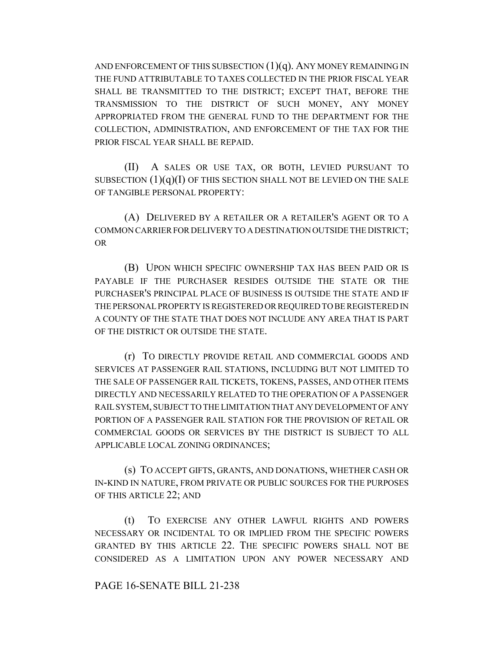AND ENFORCEMENT OF THIS SUBSECTION  $(1)(q)$ . ANY MONEY REMAINING IN THE FUND ATTRIBUTABLE TO TAXES COLLECTED IN THE PRIOR FISCAL YEAR SHALL BE TRANSMITTED TO THE DISTRICT; EXCEPT THAT, BEFORE THE TRANSMISSION TO THE DISTRICT OF SUCH MONEY, ANY MONEY APPROPRIATED FROM THE GENERAL FUND TO THE DEPARTMENT FOR THE COLLECTION, ADMINISTRATION, AND ENFORCEMENT OF THE TAX FOR THE PRIOR FISCAL YEAR SHALL BE REPAID.

(II) A SALES OR USE TAX, OR BOTH, LEVIED PURSUANT TO SUBSECTION  $(1)(q)(I)$  OF THIS SECTION SHALL NOT BE LEVIED ON THE SALE OF TANGIBLE PERSONAL PROPERTY:

(A) DELIVERED BY A RETAILER OR A RETAILER'S AGENT OR TO A COMMON CARRIER FOR DELIVERY TO A DESTINATION OUTSIDE THE DISTRICT; OR

(B) UPON WHICH SPECIFIC OWNERSHIP TAX HAS BEEN PAID OR IS PAYABLE IF THE PURCHASER RESIDES OUTSIDE THE STATE OR THE PURCHASER'S PRINCIPAL PLACE OF BUSINESS IS OUTSIDE THE STATE AND IF THE PERSONAL PROPERTY IS REGISTERED OR REQUIRED TO BE REGISTERED IN A COUNTY OF THE STATE THAT DOES NOT INCLUDE ANY AREA THAT IS PART OF THE DISTRICT OR OUTSIDE THE STATE.

(r) TO DIRECTLY PROVIDE RETAIL AND COMMERCIAL GOODS AND SERVICES AT PASSENGER RAIL STATIONS, INCLUDING BUT NOT LIMITED TO THE SALE OF PASSENGER RAIL TICKETS, TOKENS, PASSES, AND OTHER ITEMS DIRECTLY AND NECESSARILY RELATED TO THE OPERATION OF A PASSENGER RAIL SYSTEM, SUBJECT TO THE LIMITATION THAT ANY DEVELOPMENT OF ANY PORTION OF A PASSENGER RAIL STATION FOR THE PROVISION OF RETAIL OR COMMERCIAL GOODS OR SERVICES BY THE DISTRICT IS SUBJECT TO ALL APPLICABLE LOCAL ZONING ORDINANCES;

(s) TO ACCEPT GIFTS, GRANTS, AND DONATIONS, WHETHER CASH OR IN-KIND IN NATURE, FROM PRIVATE OR PUBLIC SOURCES FOR THE PURPOSES OF THIS ARTICLE 22; AND

(t) TO EXERCISE ANY OTHER LAWFUL RIGHTS AND POWERS NECESSARY OR INCIDENTAL TO OR IMPLIED FROM THE SPECIFIC POWERS GRANTED BY THIS ARTICLE 22. THE SPECIFIC POWERS SHALL NOT BE CONSIDERED AS A LIMITATION UPON ANY POWER NECESSARY AND

### PAGE 16-SENATE BILL 21-238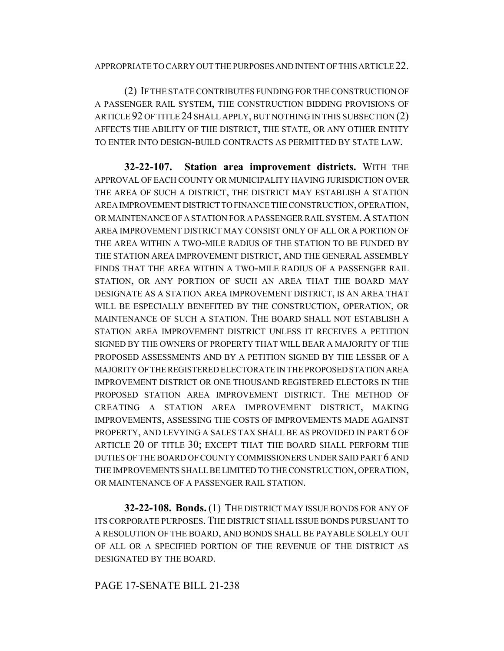#### APPROPRIATE TO CARRY OUT THE PURPOSES AND INTENT OF THIS ARTICLE 22.

(2) IF THE STATE CONTRIBUTES FUNDING FOR THE CONSTRUCTION OF A PASSENGER RAIL SYSTEM, THE CONSTRUCTION BIDDING PROVISIONS OF ARTICLE 92 OF TITLE 24 SHALL APPLY, BUT NOTHING IN THIS SUBSECTION (2) AFFECTS THE ABILITY OF THE DISTRICT, THE STATE, OR ANY OTHER ENTITY TO ENTER INTO DESIGN-BUILD CONTRACTS AS PERMITTED BY STATE LAW.

**32-22-107. Station area improvement districts.** WITH THE APPROVAL OF EACH COUNTY OR MUNICIPALITY HAVING JURISDICTION OVER THE AREA OF SUCH A DISTRICT, THE DISTRICT MAY ESTABLISH A STATION AREA IMPROVEMENT DISTRICT TO FINANCE THE CONSTRUCTION, OPERATION, OR MAINTENANCE OF A STATION FOR A PASSENGER RAIL SYSTEM. A STATION AREA IMPROVEMENT DISTRICT MAY CONSIST ONLY OF ALL OR A PORTION OF THE AREA WITHIN A TWO-MILE RADIUS OF THE STATION TO BE FUNDED BY THE STATION AREA IMPROVEMENT DISTRICT, AND THE GENERAL ASSEMBLY FINDS THAT THE AREA WITHIN A TWO-MILE RADIUS OF A PASSENGER RAIL STATION, OR ANY PORTION OF SUCH AN AREA THAT THE BOARD MAY DESIGNATE AS A STATION AREA IMPROVEMENT DISTRICT, IS AN AREA THAT WILL BE ESPECIALLY BENEFITED BY THE CONSTRUCTION, OPERATION, OR MAINTENANCE OF SUCH A STATION. THE BOARD SHALL NOT ESTABLISH A STATION AREA IMPROVEMENT DISTRICT UNLESS IT RECEIVES A PETITION SIGNED BY THE OWNERS OF PROPERTY THAT WILL BEAR A MAJORITY OF THE PROPOSED ASSESSMENTS AND BY A PETITION SIGNED BY THE LESSER OF A MAJORITY OF THE REGISTERED ELECTORATE IN THE PROPOSED STATION AREA IMPROVEMENT DISTRICT OR ONE THOUSAND REGISTERED ELECTORS IN THE PROPOSED STATION AREA IMPROVEMENT DISTRICT. THE METHOD OF CREATING A STATION AREA IMPROVEMENT DISTRICT, MAKING IMPROVEMENTS, ASSESSING THE COSTS OF IMPROVEMENTS MADE AGAINST PROPERTY, AND LEVYING A SALES TAX SHALL BE AS PROVIDED IN PART 6 OF ARTICLE 20 OF TITLE 30; EXCEPT THAT THE BOARD SHALL PERFORM THE DUTIES OF THE BOARD OF COUNTY COMMISSIONERS UNDER SAID PART 6 AND THE IMPROVEMENTS SHALL BE LIMITED TO THE CONSTRUCTION, OPERATION, OR MAINTENANCE OF A PASSENGER RAIL STATION.

**32-22-108. Bonds.** (1) THE DISTRICT MAY ISSUE BONDS FOR ANY OF ITS CORPORATE PURPOSES.THE DISTRICT SHALL ISSUE BONDS PURSUANT TO A RESOLUTION OF THE BOARD, AND BONDS SHALL BE PAYABLE SOLELY OUT OF ALL OR A SPECIFIED PORTION OF THE REVENUE OF THE DISTRICT AS DESIGNATED BY THE BOARD.

# PAGE 17-SENATE BILL 21-238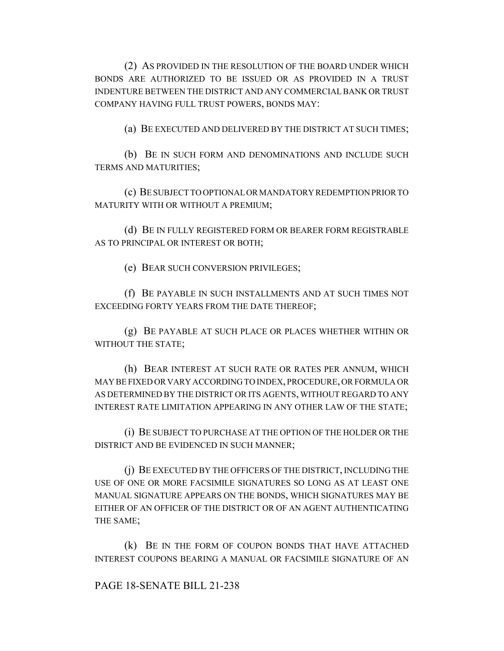(2) AS PROVIDED IN THE RESOLUTION OF THE BOARD UNDER WHICH BONDS ARE AUTHORIZED TO BE ISSUED OR AS PROVIDED IN A TRUST INDENTURE BETWEEN THE DISTRICT AND ANY COMMERCIAL BANK OR TRUST COMPANY HAVING FULL TRUST POWERS, BONDS MAY:

(a) BE EXECUTED AND DELIVERED BY THE DISTRICT AT SUCH TIMES;

(b) BE IN SUCH FORM AND DENOMINATIONS AND INCLUDE SUCH TERMS AND MATURITIES;

(c) BE SUBJECT TO OPTIONAL OR MANDATORY REDEMPTION PRIOR TO MATURITY WITH OR WITHOUT A PREMIUM;

(d) BE IN FULLY REGISTERED FORM OR BEARER FORM REGISTRABLE AS TO PRINCIPAL OR INTEREST OR BOTH;

(e) BEAR SUCH CONVERSION PRIVILEGES;

(f) BE PAYABLE IN SUCH INSTALLMENTS AND AT SUCH TIMES NOT EXCEEDING FORTY YEARS FROM THE DATE THEREOF;

(g) BE PAYABLE AT SUCH PLACE OR PLACES WHETHER WITHIN OR WITHOUT THE STATE;

(h) BEAR INTEREST AT SUCH RATE OR RATES PER ANNUM, WHICH MAY BE FIXED OR VARY ACCORDING TO INDEX, PROCEDURE, OR FORMULA OR AS DETERMINED BY THE DISTRICT OR ITS AGENTS, WITHOUT REGARD TO ANY INTEREST RATE LIMITATION APPEARING IN ANY OTHER LAW OF THE STATE;

(i) BE SUBJECT TO PURCHASE AT THE OPTION OF THE HOLDER OR THE DISTRICT AND BE EVIDENCED IN SUCH MANNER;

(j) BE EXECUTED BY THE OFFICERS OF THE DISTRICT, INCLUDING THE USE OF ONE OR MORE FACSIMILE SIGNATURES SO LONG AS AT LEAST ONE MANUAL SIGNATURE APPEARS ON THE BONDS, WHICH SIGNATURES MAY BE EITHER OF AN OFFICER OF THE DISTRICT OR OF AN AGENT AUTHENTICATING THE SAME;

(k) BE IN THE FORM OF COUPON BONDS THAT HAVE ATTACHED INTEREST COUPONS BEARING A MANUAL OR FACSIMILE SIGNATURE OF AN

### PAGE 18-SENATE BILL 21-238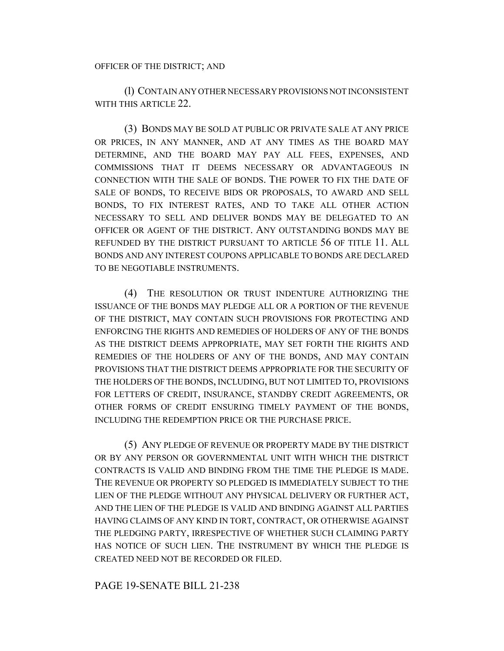(l) CONTAIN ANY OTHER NECESSARY PROVISIONS NOT INCONSISTENT WITH THIS ARTICLE 22.

(3) BONDS MAY BE SOLD AT PUBLIC OR PRIVATE SALE AT ANY PRICE OR PRICES, IN ANY MANNER, AND AT ANY TIMES AS THE BOARD MAY DETERMINE, AND THE BOARD MAY PAY ALL FEES, EXPENSES, AND COMMISSIONS THAT IT DEEMS NECESSARY OR ADVANTAGEOUS IN CONNECTION WITH THE SALE OF BONDS. THE POWER TO FIX THE DATE OF SALE OF BONDS, TO RECEIVE BIDS OR PROPOSALS, TO AWARD AND SELL BONDS, TO FIX INTEREST RATES, AND TO TAKE ALL OTHER ACTION NECESSARY TO SELL AND DELIVER BONDS MAY BE DELEGATED TO AN OFFICER OR AGENT OF THE DISTRICT. ANY OUTSTANDING BONDS MAY BE REFUNDED BY THE DISTRICT PURSUANT TO ARTICLE 56 OF TITLE 11. ALL BONDS AND ANY INTEREST COUPONS APPLICABLE TO BONDS ARE DECLARED TO BE NEGOTIABLE INSTRUMENTS.

(4) THE RESOLUTION OR TRUST INDENTURE AUTHORIZING THE ISSUANCE OF THE BONDS MAY PLEDGE ALL OR A PORTION OF THE REVENUE OF THE DISTRICT, MAY CONTAIN SUCH PROVISIONS FOR PROTECTING AND ENFORCING THE RIGHTS AND REMEDIES OF HOLDERS OF ANY OF THE BONDS AS THE DISTRICT DEEMS APPROPRIATE, MAY SET FORTH THE RIGHTS AND REMEDIES OF THE HOLDERS OF ANY OF THE BONDS, AND MAY CONTAIN PROVISIONS THAT THE DISTRICT DEEMS APPROPRIATE FOR THE SECURITY OF THE HOLDERS OF THE BONDS, INCLUDING, BUT NOT LIMITED TO, PROVISIONS FOR LETTERS OF CREDIT, INSURANCE, STANDBY CREDIT AGREEMENTS, OR OTHER FORMS OF CREDIT ENSURING TIMELY PAYMENT OF THE BONDS, INCLUDING THE REDEMPTION PRICE OR THE PURCHASE PRICE.

(5) ANY PLEDGE OF REVENUE OR PROPERTY MADE BY THE DISTRICT OR BY ANY PERSON OR GOVERNMENTAL UNIT WITH WHICH THE DISTRICT CONTRACTS IS VALID AND BINDING FROM THE TIME THE PLEDGE IS MADE. THE REVENUE OR PROPERTY SO PLEDGED IS IMMEDIATELY SUBJECT TO THE LIEN OF THE PLEDGE WITHOUT ANY PHYSICAL DELIVERY OR FURTHER ACT, AND THE LIEN OF THE PLEDGE IS VALID AND BINDING AGAINST ALL PARTIES HAVING CLAIMS OF ANY KIND IN TORT, CONTRACT, OR OTHERWISE AGAINST THE PLEDGING PARTY, IRRESPECTIVE OF WHETHER SUCH CLAIMING PARTY HAS NOTICE OF SUCH LIEN. THE INSTRUMENT BY WHICH THE PLEDGE IS CREATED NEED NOT BE RECORDED OR FILED.

### PAGE 19-SENATE BILL 21-238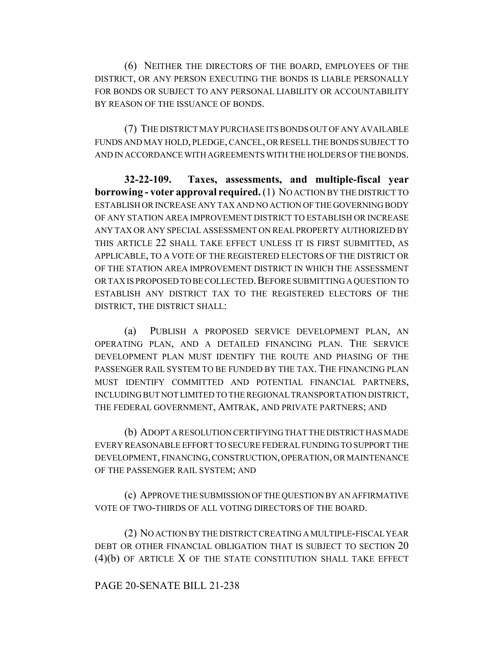(6) NEITHER THE DIRECTORS OF THE BOARD, EMPLOYEES OF THE DISTRICT, OR ANY PERSON EXECUTING THE BONDS IS LIABLE PERSONALLY FOR BONDS OR SUBJECT TO ANY PERSONAL LIABILITY OR ACCOUNTABILITY BY REASON OF THE ISSUANCE OF BONDS.

(7) THE DISTRICT MAY PURCHASE ITS BONDS OUT OF ANY AVAILABLE FUNDS AND MAY HOLD, PLEDGE, CANCEL, OR RESELL THE BONDS SUBJECT TO AND IN ACCORDANCE WITH AGREEMENTS WITH THE HOLDERS OF THE BONDS.

**32-22-109. Taxes, assessments, and multiple-fiscal year borrowing - voter approval required.** (1) NO ACTION BY THE DISTRICT TO ESTABLISH OR INCREASE ANY TAX AND NO ACTION OF THE GOVERNING BODY OF ANY STATION AREA IMPROVEMENT DISTRICT TO ESTABLISH OR INCREASE ANY TAX OR ANY SPECIAL ASSESSMENT ON REAL PROPERTY AUTHORIZED BY THIS ARTICLE 22 SHALL TAKE EFFECT UNLESS IT IS FIRST SUBMITTED, AS APPLICABLE, TO A VOTE OF THE REGISTERED ELECTORS OF THE DISTRICT OR OF THE STATION AREA IMPROVEMENT DISTRICT IN WHICH THE ASSESSMENT OR TAX IS PROPOSED TO BE COLLECTED. BEFORE SUBMITTING A QUESTION TO ESTABLISH ANY DISTRICT TAX TO THE REGISTERED ELECTORS OF THE DISTRICT, THE DISTRICT SHALL:

(a) PUBLISH A PROPOSED SERVICE DEVELOPMENT PLAN, AN OPERATING PLAN, AND A DETAILED FINANCING PLAN. THE SERVICE DEVELOPMENT PLAN MUST IDENTIFY THE ROUTE AND PHASING OF THE PASSENGER RAIL SYSTEM TO BE FUNDED BY THE TAX. THE FINANCING PLAN MUST IDENTIFY COMMITTED AND POTENTIAL FINANCIAL PARTNERS, INCLUDING BUT NOT LIMITED TO THE REGIONAL TRANSPORTATION DISTRICT, THE FEDERAL GOVERNMENT, AMTRAK, AND PRIVATE PARTNERS; AND

(b) ADOPT A RESOLUTION CERTIFYING THAT THE DISTRICT HAS MADE EVERY REASONABLE EFFORT TO SECURE FEDERAL FUNDING TO SUPPORT THE DEVELOPMENT, FINANCING, CONSTRUCTION, OPERATION, OR MAINTENANCE OF THE PASSENGER RAIL SYSTEM; AND

(c) APPROVE THE SUBMISSION OF THE QUESTION BY AN AFFIRMATIVE VOTE OF TWO-THIRDS OF ALL VOTING DIRECTORS OF THE BOARD.

(2) NO ACTION BY THE DISTRICT CREATING A MULTIPLE-FISCAL YEAR DEBT OR OTHER FINANCIAL OBLIGATION THAT IS SUBJECT TO SECTION 20 (4)(b) OF ARTICLE X OF THE STATE CONSTITUTION SHALL TAKE EFFECT

### PAGE 20-SENATE BILL 21-238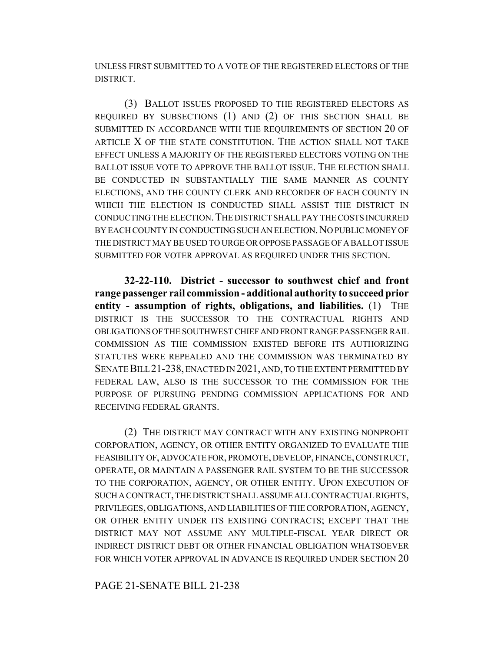UNLESS FIRST SUBMITTED TO A VOTE OF THE REGISTERED ELECTORS OF THE DISTRICT.

(3) BALLOT ISSUES PROPOSED TO THE REGISTERED ELECTORS AS REQUIRED BY SUBSECTIONS (1) AND (2) OF THIS SECTION SHALL BE SUBMITTED IN ACCORDANCE WITH THE REQUIREMENTS OF SECTION 20 OF ARTICLE X OF THE STATE CONSTITUTION. THE ACTION SHALL NOT TAKE EFFECT UNLESS A MAJORITY OF THE REGISTERED ELECTORS VOTING ON THE BALLOT ISSUE VOTE TO APPROVE THE BALLOT ISSUE. THE ELECTION SHALL BE CONDUCTED IN SUBSTANTIALLY THE SAME MANNER AS COUNTY ELECTIONS, AND THE COUNTY CLERK AND RECORDER OF EACH COUNTY IN WHICH THE ELECTION IS CONDUCTED SHALL ASSIST THE DISTRICT IN CONDUCTING THE ELECTION.THE DISTRICT SHALL PAY THE COSTS INCURRED BY EACH COUNTY IN CONDUCTING SUCH AN ELECTION. NO PUBLIC MONEY OF THE DISTRICT MAY BE USED TO URGE OR OPPOSE PASSAGE OF A BALLOT ISSUE SUBMITTED FOR VOTER APPROVAL AS REQUIRED UNDER THIS SECTION.

**32-22-110. District - successor to southwest chief and front range passenger rail commission - additional authority to succeed prior entity - assumption of rights, obligations, and liabilities.** (1) THE DISTRICT IS THE SUCCESSOR TO THE CONTRACTUAL RIGHTS AND OBLIGATIONS OF THE SOUTHWEST CHIEF AND FRONT RANGE PASSENGER RAIL COMMISSION AS THE COMMISSION EXISTED BEFORE ITS AUTHORIZING STATUTES WERE REPEALED AND THE COMMISSION WAS TERMINATED BY SENATE BILL 21-238, ENACTED IN 2021, AND, TO THE EXTENT PERMITTED BY FEDERAL LAW, ALSO IS THE SUCCESSOR TO THE COMMISSION FOR THE PURPOSE OF PURSUING PENDING COMMISSION APPLICATIONS FOR AND RECEIVING FEDERAL GRANTS.

(2) THE DISTRICT MAY CONTRACT WITH ANY EXISTING NONPROFIT CORPORATION, AGENCY, OR OTHER ENTITY ORGANIZED TO EVALUATE THE FEASIBILITY OF, ADVOCATE FOR, PROMOTE, DEVELOP, FINANCE, CONSTRUCT, OPERATE, OR MAINTAIN A PASSENGER RAIL SYSTEM TO BE THE SUCCESSOR TO THE CORPORATION, AGENCY, OR OTHER ENTITY. UPON EXECUTION OF SUCH A CONTRACT, THE DISTRICT SHALL ASSUME ALL CONTRACTUAL RIGHTS, PRIVILEGES, OBLIGATIONS, AND LIABILITIES OF THE CORPORATION, AGENCY, OR OTHER ENTITY UNDER ITS EXISTING CONTRACTS; EXCEPT THAT THE DISTRICT MAY NOT ASSUME ANY MULTIPLE-FISCAL YEAR DIRECT OR INDIRECT DISTRICT DEBT OR OTHER FINANCIAL OBLIGATION WHATSOEVER FOR WHICH VOTER APPROVAL IN ADVANCE IS REQUIRED UNDER SECTION 20

#### PAGE 21-SENATE BILL 21-238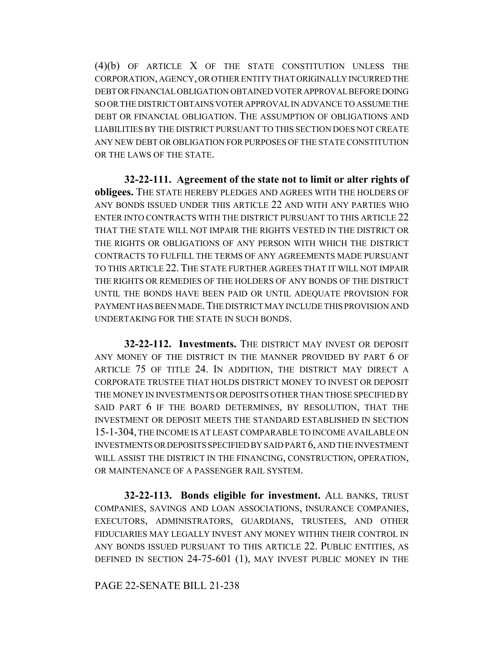(4)(b) OF ARTICLE X OF THE STATE CONSTITUTION UNLESS THE CORPORATION, AGENCY, OR OTHER ENTITY THAT ORIGINALLY INCURRED THE DEBT OR FINANCIAL OBLIGATION OBTAINED VOTER APPROVAL BEFORE DOING SO OR THE DISTRICT OBTAINS VOTER APPROVAL IN ADVANCE TO ASSUME THE DEBT OR FINANCIAL OBLIGATION. THE ASSUMPTION OF OBLIGATIONS AND LIABILITIES BY THE DISTRICT PURSUANT TO THIS SECTION DOES NOT CREATE ANY NEW DEBT OR OBLIGATION FOR PURPOSES OF THE STATE CONSTITUTION OR THE LAWS OF THE STATE.

**32-22-111. Agreement of the state not to limit or alter rights of obligees.** THE STATE HEREBY PLEDGES AND AGREES WITH THE HOLDERS OF ANY BONDS ISSUED UNDER THIS ARTICLE 22 AND WITH ANY PARTIES WHO ENTER INTO CONTRACTS WITH THE DISTRICT PURSUANT TO THIS ARTICLE 22 THAT THE STATE WILL NOT IMPAIR THE RIGHTS VESTED IN THE DISTRICT OR THE RIGHTS OR OBLIGATIONS OF ANY PERSON WITH WHICH THE DISTRICT CONTRACTS TO FULFILL THE TERMS OF ANY AGREEMENTS MADE PURSUANT TO THIS ARTICLE 22. THE STATE FURTHER AGREES THAT IT WILL NOT IMPAIR THE RIGHTS OR REMEDIES OF THE HOLDERS OF ANY BONDS OF THE DISTRICT UNTIL THE BONDS HAVE BEEN PAID OR UNTIL ADEQUATE PROVISION FOR PAYMENT HAS BEEN MADE. THE DISTRICT MAY INCLUDE THIS PROVISION AND UNDERTAKING FOR THE STATE IN SUCH BONDS.

**32-22-112. Investments.** THE DISTRICT MAY INVEST OR DEPOSIT ANY MONEY OF THE DISTRICT IN THE MANNER PROVIDED BY PART 6 OF ARTICLE 75 OF TITLE 24. IN ADDITION, THE DISTRICT MAY DIRECT A CORPORATE TRUSTEE THAT HOLDS DISTRICT MONEY TO INVEST OR DEPOSIT THE MONEY IN INVESTMENTS OR DEPOSITS OTHER THAN THOSE SPECIFIED BY SAID PART 6 IF THE BOARD DETERMINES, BY RESOLUTION, THAT THE INVESTMENT OR DEPOSIT MEETS THE STANDARD ESTABLISHED IN SECTION 15-1-304, THE INCOME IS AT LEAST COMPARABLE TO INCOME AVAILABLE ON INVESTMENTS OR DEPOSITS SPECIFIED BY SAID PART 6, AND THE INVESTMENT WILL ASSIST THE DISTRICT IN THE FINANCING, CONSTRUCTION, OPERATION, OR MAINTENANCE OF A PASSENGER RAIL SYSTEM.

**32-22-113. Bonds eligible for investment.** ALL BANKS, TRUST COMPANIES, SAVINGS AND LOAN ASSOCIATIONS, INSURANCE COMPANIES, EXECUTORS, ADMINISTRATORS, GUARDIANS, TRUSTEES, AND OTHER FIDUCIARIES MAY LEGALLY INVEST ANY MONEY WITHIN THEIR CONTROL IN ANY BONDS ISSUED PURSUANT TO THIS ARTICLE 22. PUBLIC ENTITIES, AS DEFINED IN SECTION 24-75-601 (1), MAY INVEST PUBLIC MONEY IN THE

PAGE 22-SENATE BILL 21-238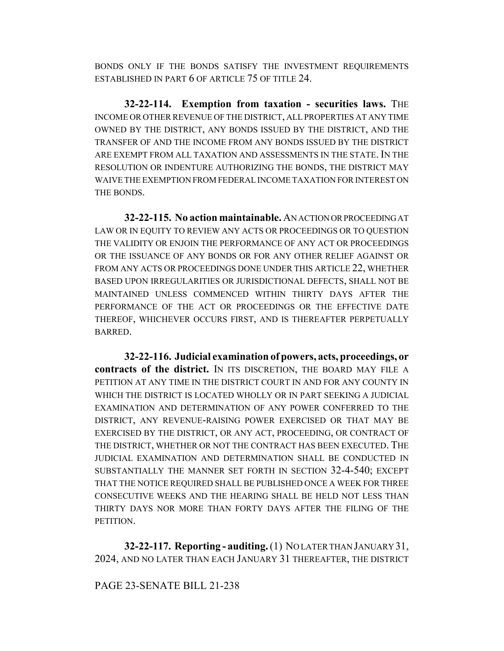BONDS ONLY IF THE BONDS SATISFY THE INVESTMENT REQUIREMENTS ESTABLISHED IN PART 6 OF ARTICLE 75 OF TITLE 24.

**32-22-114. Exemption from taxation - securities laws.** THE INCOME OR OTHER REVENUE OF THE DISTRICT, ALL PROPERTIES AT ANY TIME OWNED BY THE DISTRICT, ANY BONDS ISSUED BY THE DISTRICT, AND THE TRANSFER OF AND THE INCOME FROM ANY BONDS ISSUED BY THE DISTRICT ARE EXEMPT FROM ALL TAXATION AND ASSESSMENTS IN THE STATE. IN THE RESOLUTION OR INDENTURE AUTHORIZING THE BONDS, THE DISTRICT MAY WAIVE THE EXEMPTION FROM FEDERAL INCOME TAXATION FOR INTEREST ON THE BONDS.

**32-22-115. No action maintainable.** AN ACTION OR PROCEEDING AT LAW OR IN EQUITY TO REVIEW ANY ACTS OR PROCEEDINGS OR TO QUESTION THE VALIDITY OR ENJOIN THE PERFORMANCE OF ANY ACT OR PROCEEDINGS OR THE ISSUANCE OF ANY BONDS OR FOR ANY OTHER RELIEF AGAINST OR FROM ANY ACTS OR PROCEEDINGS DONE UNDER THIS ARTICLE 22, WHETHER BASED UPON IRREGULARITIES OR JURISDICTIONAL DEFECTS, SHALL NOT BE MAINTAINED UNLESS COMMENCED WITHIN THIRTY DAYS AFTER THE PERFORMANCE OF THE ACT OR PROCEEDINGS OR THE EFFECTIVE DATE THEREOF, WHICHEVER OCCURS FIRST, AND IS THEREAFTER PERPETUALLY BARRED.

**32-22-116. Judicial examination of powers, acts, proceedings, or contracts of the district.** IN ITS DISCRETION, THE BOARD MAY FILE A PETITION AT ANY TIME IN THE DISTRICT COURT IN AND FOR ANY COUNTY IN WHICH THE DISTRICT IS LOCATED WHOLLY OR IN PART SEEKING A JUDICIAL EXAMINATION AND DETERMINATION OF ANY POWER CONFERRED TO THE DISTRICT, ANY REVENUE-RAISING POWER EXERCISED OR THAT MAY BE EXERCISED BY THE DISTRICT, OR ANY ACT, PROCEEDING, OR CONTRACT OF THE DISTRICT, WHETHER OR NOT THE CONTRACT HAS BEEN EXECUTED. THE JUDICIAL EXAMINATION AND DETERMINATION SHALL BE CONDUCTED IN SUBSTANTIALLY THE MANNER SET FORTH IN SECTION 32-4-540; EXCEPT THAT THE NOTICE REQUIRED SHALL BE PUBLISHED ONCE A WEEK FOR THREE CONSECUTIVE WEEKS AND THE HEARING SHALL BE HELD NOT LESS THAN THIRTY DAYS NOR MORE THAN FORTY DAYS AFTER THE FILING OF THE PETITION.

**32-22-117. Reporting - auditing.** (1) NO LATER THAN JANUARY 31, 2024, AND NO LATER THAN EACH JANUARY 31 THEREAFTER, THE DISTRICT

### PAGE 23-SENATE BILL 21-238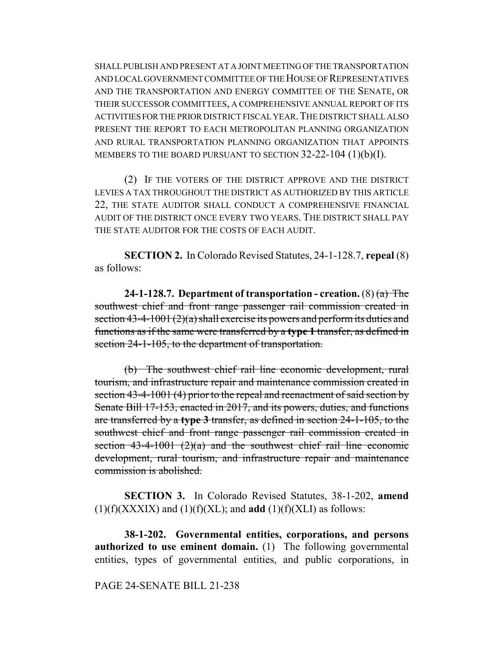SHALL PUBLISH AND PRESENT AT A JOINT MEETING OF THE TRANSPORTATION AND LOCAL GOVERNMENT COMMITTEE OF THE HOUSE OF REPRESENTATIVES AND THE TRANSPORTATION AND ENERGY COMMITTEE OF THE SENATE, OR THEIR SUCCESSOR COMMITTEES, A COMPREHENSIVE ANNUAL REPORT OF ITS ACTIVITIES FOR THE PRIOR DISTRICT FISCAL YEAR.THE DISTRICT SHALL ALSO PRESENT THE REPORT TO EACH METROPOLITAN PLANNING ORGANIZATION AND RURAL TRANSPORTATION PLANNING ORGANIZATION THAT APPOINTS MEMBERS TO THE BOARD PURSUANT TO SECTION 32-22-104 (1)(b)(I).

(2) IF THE VOTERS OF THE DISTRICT APPROVE AND THE DISTRICT LEVIES A TAX THROUGHOUT THE DISTRICT AS AUTHORIZED BY THIS ARTICLE 22, THE STATE AUDITOR SHALL CONDUCT A COMPREHENSIVE FINANCIAL AUDIT OF THE DISTRICT ONCE EVERY TWO YEARS. THE DISTRICT SHALL PAY THE STATE AUDITOR FOR THE COSTS OF EACH AUDIT.

**SECTION 2.** In Colorado Revised Statutes, 24-1-128.7, **repeal** (8) as follows:

**24-1-128.7. Department of transportation - creation.** (8) (a) The southwest chief and front range passenger rail commission created in section  $43-4-1001(2)(a)$  shall exercise its powers and perform its duties and functions as if the same were transferred by a **type 1** transfer, as defined in section 24-1-105, to the department of transportation.

(b) The southwest chief rail line economic development, rural tourism, and infrastructure repair and maintenance commission created in section 43-4-1001 (4) prior to the repeal and reenactment of said section by Senate Bill 17-153, enacted in 2017, and its powers, duties, and functions are transferred by a **type 3** transfer, as defined in section 24-1-105, to the southwest chief and front range passenger rail commission created in section  $43-4-1001$   $(2)(a)$  and the southwest chief rail line economic development, rural tourism, and infrastructure repair and maintenance commission is abolished.

**SECTION 3.** In Colorado Revised Statutes, 38-1-202, **amend**  $(1)(f)(XXXIX)$  and  $(1)(f)(XL)$ ; and **add**  $(1)(f)(XLI)$  as follows:

**38-1-202. Governmental entities, corporations, and persons authorized to use eminent domain.** (1) The following governmental entities, types of governmental entities, and public corporations, in

#### PAGE 24-SENATE BILL 21-238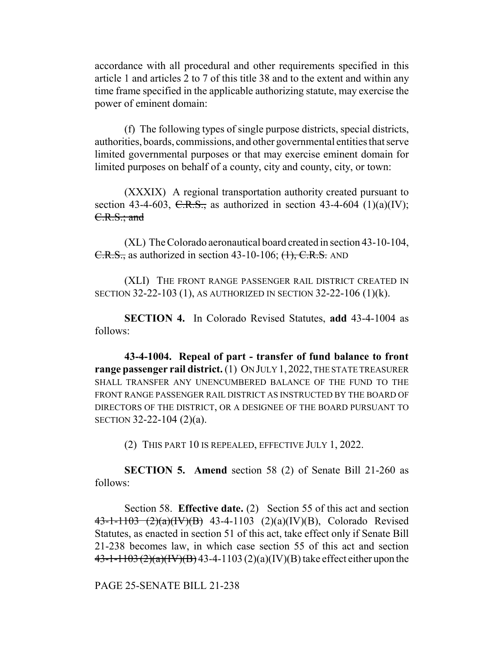accordance with all procedural and other requirements specified in this article 1 and articles 2 to 7 of this title 38 and to the extent and within any time frame specified in the applicable authorizing statute, may exercise the power of eminent domain:

(f) The following types of single purpose districts, special districts, authorities, boards, commissions, and other governmental entities that serve limited governmental purposes or that may exercise eminent domain for limited purposes on behalf of a county, city and county, city, or town:

(XXXIX) A regional transportation authority created pursuant to section 43-4-603, C.R.S., as authorized in section 43-4-604 (1)(a)(IV); C.R.S.; and

(XL) The Colorado aeronautical board created in section 43-10-104,  $C.R.S.,$  as authorized in section 43-10-106;  $(1), C.R.S.$  AND

(XLI) THE FRONT RANGE PASSENGER RAIL DISTRICT CREATED IN SECTION 32-22-103 (1), AS AUTHORIZED IN SECTION 32-22-106 (1)(k).

**SECTION 4.** In Colorado Revised Statutes, **add** 43-4-1004 as follows:

**43-4-1004. Repeal of part - transfer of fund balance to front range passenger rail district.** (1) ON JULY 1, 2022, THE STATE TREASURER SHALL TRANSFER ANY UNENCUMBERED BALANCE OF THE FUND TO THE FRONT RANGE PASSENGER RAIL DISTRICT AS INSTRUCTED BY THE BOARD OF DIRECTORS OF THE DISTRICT, OR A DESIGNEE OF THE BOARD PURSUANT TO SECTION 32-22-104 (2)(a).

(2) THIS PART 10 IS REPEALED, EFFECTIVE JULY 1, 2022.

**SECTION 5. Amend** section 58 (2) of Senate Bill 21-260 as follows:

Section 58. **Effective date.** (2) Section 55 of this act and section 43-1-1103 (2)(a)(IV)(B) 43-4-1103 (2)(a)(IV)(B), Colorado Revised Statutes, as enacted in section 51 of this act, take effect only if Senate Bill 21-238 becomes law, in which case section 55 of this act and section  $43-1-1103 (2)(a)(IV)(B)$  43-4-1103 (2)(a)(IV)(B) take effect either upon the

PAGE 25-SENATE BILL 21-238